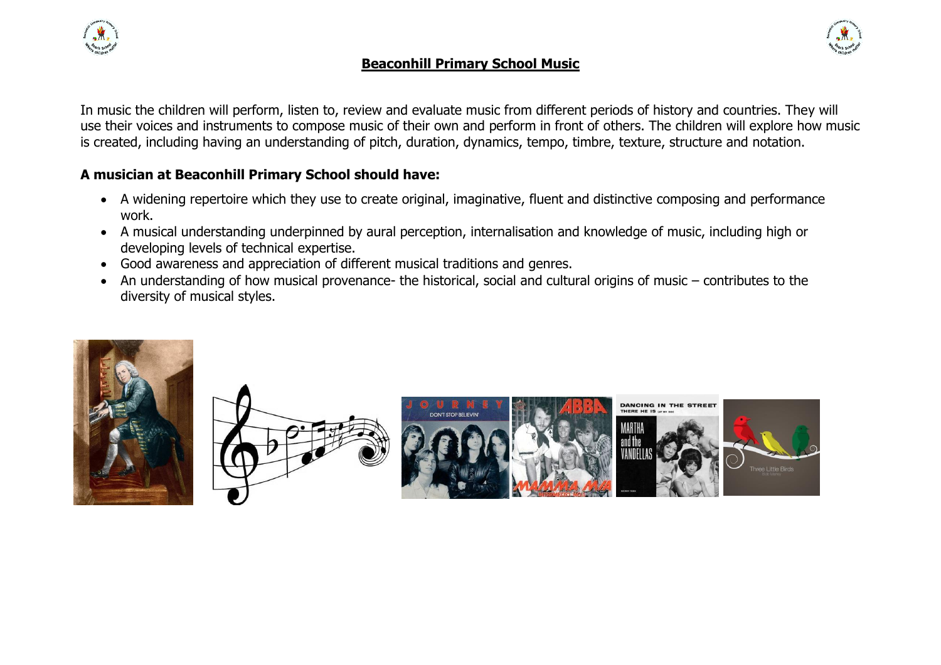

## **Beaconhill Primary School Music**



In music the children will perform, listen to, review and evaluate music from different periods of history and countries. They will use their voices and instruments to compose music of their own and perform in front of others. The children will explore how music is created, including having an understanding of pitch, duration, dynamics, tempo, timbre, texture, structure and notation.

## **A musician at Beaconhill Primary School should have:**

- A widening repertoire which they use to create original, imaginative, fluent and distinctive composing and performance work.
- A musical understanding underpinned by aural perception, internalisation and knowledge of music, including high or developing levels of technical expertise.
- Good awareness and appreciation of different musical traditions and genres.
- An understanding of how musical provenance- the historical, social and cultural origins of music contributes to the diversity of musical styles.





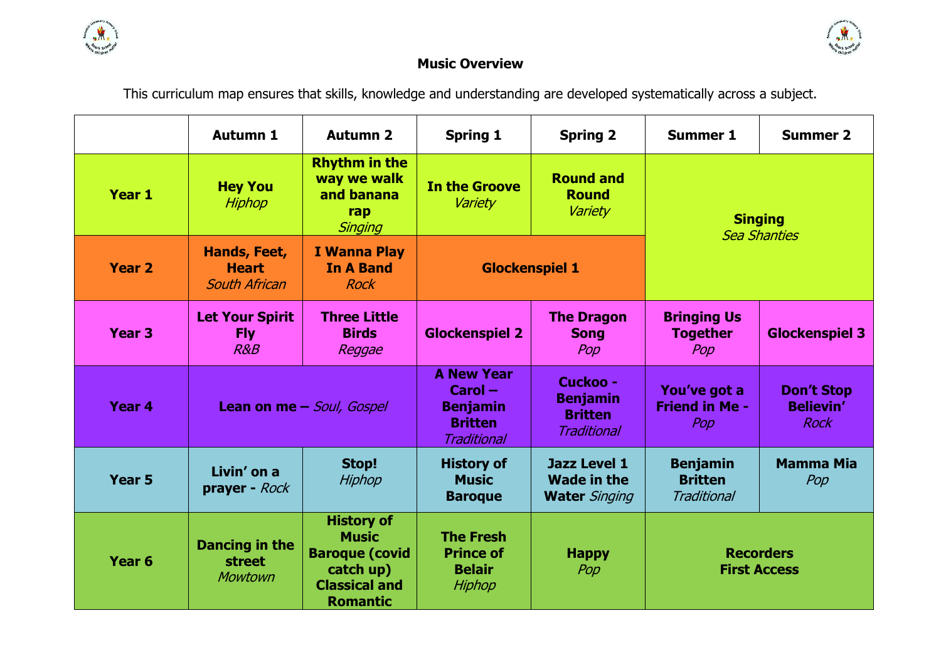

# **Music Overview**

This curriculum map ensures that skills, knowledge and understanding are developed systematically across a subject.

|                   | <b>Autumn 1</b>                                      | <b>Autumn 2</b>                                                                                                    | <b>Spring 1</b>                                                                           | <b>Spring 2</b>                                                     | <b>Summer 1</b>                                  | <b>Summer 2</b>                               |
|-------------------|------------------------------------------------------|--------------------------------------------------------------------------------------------------------------------|-------------------------------------------------------------------------------------------|---------------------------------------------------------------------|--------------------------------------------------|-----------------------------------------------|
| Year 1            | <b>Hey You</b><br>Hiphop                             | <b>Rhythm in the</b><br>way we walk<br>and banana<br>rap<br>Singing                                                | <b>In the Groove</b><br>Variety                                                           | <b>Round and</b><br><b>Round</b><br>Variety                         | <b>Singing</b>                                   | <b>Sea Shanties</b>                           |
| <b>Year 2</b>     | Hands, Feet,<br><b>Heart</b><br><b>South African</b> | <b>I Wanna Play</b><br><b>In A Band</b><br><b>Rock</b>                                                             | <b>Glockenspiel 1</b>                                                                     |                                                                     |                                                  |                                               |
| Year <sub>3</sub> | <b>Let Your Spirit</b><br><b>Fly</b><br>R&B          | <b>Three Little</b><br><b>Birds</b><br>Reggae                                                                      | <b>Glockenspiel 2</b>                                                                     | <b>The Dragon</b><br><b>Song</b><br>Pop                             | <b>Bringing Us</b><br><b>Together</b><br>Pop     | <b>Glockenspiel 3</b>                         |
| Year 4            |                                                      | Lean on me - Soul, Gospel                                                                                          | <b>A New Year</b><br>$Carol -$<br><b>Benjamin</b><br><b>Britten</b><br><b>Traditional</b> | Cuckoo -<br><b>Benjamin</b><br><b>Britten</b><br><b>Traditional</b> | You've got a<br><b>Friend in Me -</b><br>Pop     | <b>Don't Stop</b><br><b>Believin'</b><br>Rock |
| Year 5            | Livin' on a<br>prayer - Rock                         | Stop!<br>Hiphop                                                                                                    | <b>History of</b><br><b>Music</b><br><b>Baroque</b>                                       | <b>Jazz Level 1</b><br><b>Wade in the</b><br><b>Water</b> Singing   | <b>Benjamin</b><br><b>Britten</b><br>Traditional | <b>Mamma Mia</b><br>Pop                       |
| Year <sub>6</sub> | Dancing in the<br><b>street</b><br><b>Mowtown</b>    | <b>History of</b><br><b>Music</b><br><b>Baroque (covid</b><br>catch up)<br><b>Classical and</b><br><b>Romantic</b> | <b>The Fresh</b><br><b>Prince of</b><br><b>Belair</b><br>Hiphop                           | <b>Happy</b><br>Pop                                                 |                                                  | <b>Recorders</b><br><b>First Access</b>       |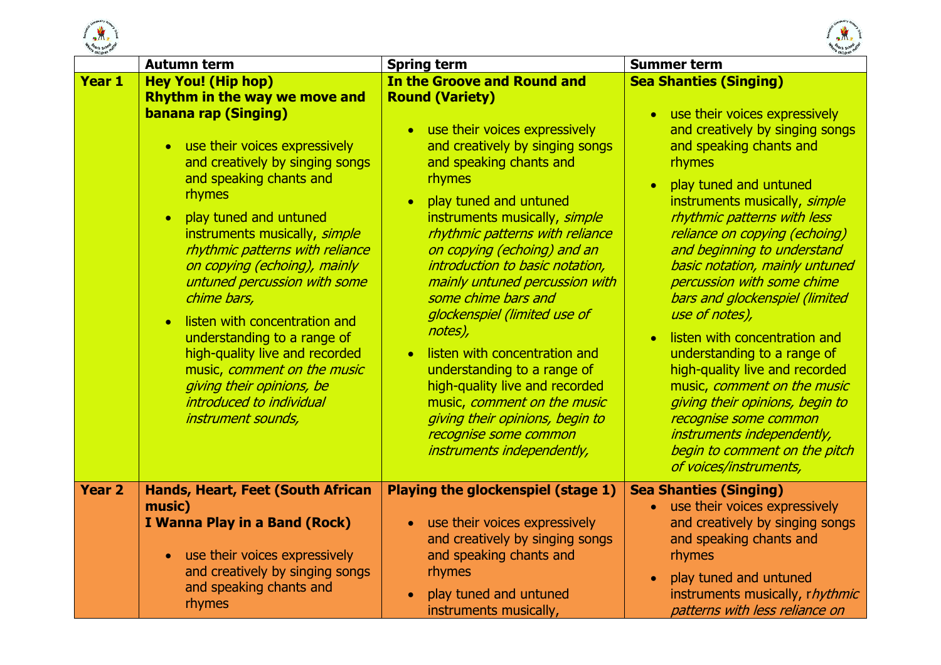



|               | <b>Autumn term</b>                                                                                                                                                                                                                                                                                                                                                                                                                                                                                                                                                                                                                 | <b>Spring term</b>                                                                                                                                                                                                                                                                                                                                                                                                                                                                                                                                                                                                                                                                | <b>Summer term</b>                                                                                                                                                                                                                                                                                                                                                                                                                                                                                                                                                                                                                                                                                                                            |
|---------------|------------------------------------------------------------------------------------------------------------------------------------------------------------------------------------------------------------------------------------------------------------------------------------------------------------------------------------------------------------------------------------------------------------------------------------------------------------------------------------------------------------------------------------------------------------------------------------------------------------------------------------|-----------------------------------------------------------------------------------------------------------------------------------------------------------------------------------------------------------------------------------------------------------------------------------------------------------------------------------------------------------------------------------------------------------------------------------------------------------------------------------------------------------------------------------------------------------------------------------------------------------------------------------------------------------------------------------|-----------------------------------------------------------------------------------------------------------------------------------------------------------------------------------------------------------------------------------------------------------------------------------------------------------------------------------------------------------------------------------------------------------------------------------------------------------------------------------------------------------------------------------------------------------------------------------------------------------------------------------------------------------------------------------------------------------------------------------------------|
| Year 1        | <b>Hey You! (Hip hop)</b><br><b>Rhythm in the way we move and</b><br><b>banana rap (Singing)</b><br>• use their voices expressively<br>and creatively by singing songs<br>and speaking chants and<br>rhymes<br>play tuned and untuned<br>$\bullet$<br>instruments musically, simple<br>rhythmic patterns with reliance<br>on copying (echoing), mainly<br>untuned percussion with some<br>chime bars,<br>listen with concentration and<br>$\bullet$<br>understanding to a range of<br>high-quality live and recorded<br>music, comment on the music<br>giving their opinions, be<br>introduced to individual<br>instrument sounds, | In the Groove and Round and<br><b>Round (Variety)</b><br>use their voices expressively<br>$\bullet$<br>and creatively by singing songs<br>and speaking chants and<br>rhymes<br>play tuned and untuned<br>instruments musically, simple<br>rhythmic patterns with reliance<br>on copying (echoing) and an<br>introduction to basic notation,<br>mainly untuned percussion with<br>some chime bars and<br>glockenspiel (limited use of<br>notes),<br>listen with concentration and<br>understanding to a range of<br>high-quality live and recorded<br>music, comment on the music<br>giving their opinions, begin to<br>recognise some common<br><i>instruments independently,</i> | <b>Sea Shanties (Singing)</b><br>• use their voices expressively<br>and creatively by singing songs<br>and speaking chants and<br>rhymes<br>play tuned and untuned<br>$\bullet$<br>instruments musically, simple<br>rhythmic patterns with less<br>reliance on copying (echoing)<br>and beginning to understand<br>basic notation, mainly untuned<br>percussion with some chime<br>bars and glockenspiel (limited<br>use of notes),<br>listen with concentration and<br>$\bullet$<br>understanding to a range of<br>high-quality live and recorded<br>music, comment on the music<br>giving their opinions, begin to<br>recognise some common<br><i>instruments independently,</i><br>begin to comment on the pitch<br>of voices/instruments, |
| <b>Year 2</b> | <b>Hands, Heart, Feet (South African</b><br>music)<br>I Wanna Play in a Band (Rock)<br>use their voices expressively<br>$\bullet$                                                                                                                                                                                                                                                                                                                                                                                                                                                                                                  | <b>Playing the glockenspiel (stage 1)</b><br>use their voices expressively<br>$\bullet$<br>and creatively by singing songs<br>and speaking chants and                                                                                                                                                                                                                                                                                                                                                                                                                                                                                                                             | <b>Sea Shanties (Singing)</b><br>use their voices expressively<br>$\bullet$<br>and creatively by singing songs<br>and speaking chants and<br>rhymes                                                                                                                                                                                                                                                                                                                                                                                                                                                                                                                                                                                           |
|               | and creatively by singing songs<br>and speaking chants and<br>rhymes                                                                                                                                                                                                                                                                                                                                                                                                                                                                                                                                                               | rhymes<br>play tuned and untuned<br>instruments musically,                                                                                                                                                                                                                                                                                                                                                                                                                                                                                                                                                                                                                        | play tuned and untuned<br>instruments musically, rhythmic<br>patterns with less reliance on                                                                                                                                                                                                                                                                                                                                                                                                                                                                                                                                                                                                                                                   |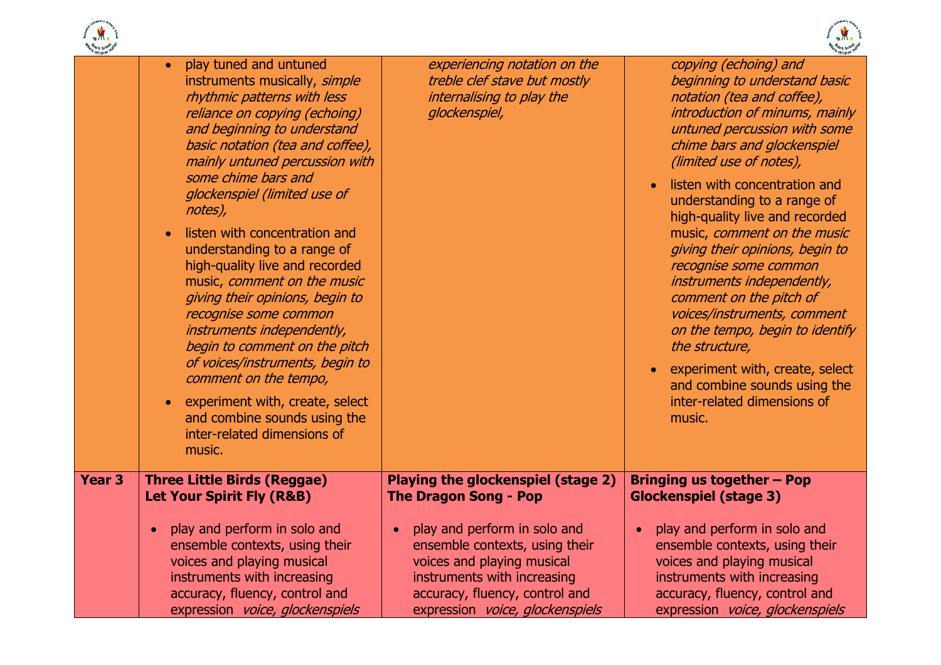



| e children    |                                                                                                                                                                                                                                                                                                                                                                                                                                                                                          |                                                                                                                                                                  |                                                                                                                                                                                                                                                                                                                                                                                                                                                    |
|---------------|------------------------------------------------------------------------------------------------------------------------------------------------------------------------------------------------------------------------------------------------------------------------------------------------------------------------------------------------------------------------------------------------------------------------------------------------------------------------------------------|------------------------------------------------------------------------------------------------------------------------------------------------------------------|----------------------------------------------------------------------------------------------------------------------------------------------------------------------------------------------------------------------------------------------------------------------------------------------------------------------------------------------------------------------------------------------------------------------------------------------------|
|               | play tuned and untuned<br>$\bullet$<br>instruments musically, simple<br>rhythmic patterns with less<br>reliance on copying (echoing)<br>and beginning to understand<br>basic notation (tea and coffee),<br>mainly untuned percussion with<br>some chime bars and                                                                                                                                                                                                                         | experiencing notation on the<br>treble clef stave but mostly<br>internalising to play the<br>glockenspiel,                                                       | copying (echoing) and<br>beginning to understand basic<br>notation (tea and coffee),<br>introduction of minums, mainly<br>untuned percussion with some<br>chime bars and glockenspiel<br>(limited use of notes),                                                                                                                                                                                                                                   |
|               | glockenspiel (limited use of<br>notes),<br>listen with concentration and<br>understanding to a range of<br>high-quality live and recorded<br>music, comment on the music<br>giving their opinions, begin to<br>recognise some common<br>instruments independently,<br>begin to comment on the pitch<br>of voices/instruments, begin to<br>comment on the tempo,<br>experiment with, create, select<br>$\bullet$<br>and combine sounds using the<br>inter-related dimensions of<br>music. |                                                                                                                                                                  | listen with concentration and<br>understanding to a range of<br>high-quality live and recorded<br>music, comment on the music<br>giving their opinions, begin to<br>recognise some common<br>instruments independently,<br>comment on the pitch of<br>voices/instruments, comment<br>on the tempo, begin to identify<br>the structure,<br>experiment with, create, select<br>and combine sounds using the<br>inter-related dimensions of<br>music. |
| <b>Year 3</b> | <b>Three Little Birds (Reggae)</b><br><b>Let Your Spirit Fly (R&amp;B)</b><br>play and perform in solo and<br>$\bullet$                                                                                                                                                                                                                                                                                                                                                                  | Playing the glockenspiel (stage 2)<br><b>The Dragon Song - Pop</b><br>play and perform in solo and<br>$\bullet$                                                  | Bringing us together - Pop<br><b>Glockenspiel (stage 3)</b><br>play and perform in solo and                                                                                                                                                                                                                                                                                                                                                        |
|               | ensemble contexts, using their<br>voices and playing musical<br>instruments with increasing<br>accuracy, fluency, control and<br>expression voice, glockenspiels                                                                                                                                                                                                                                                                                                                         | ensemble contexts, using their<br>voices and playing musical<br>instruments with increasing<br>accuracy, fluency, control and<br>expression voice, glockenspiels | ensemble contexts, using their<br>voices and playing musical<br>instruments with increasing<br>accuracy, fluency, control and<br>expression voice, glockenspiels                                                                                                                                                                                                                                                                                   |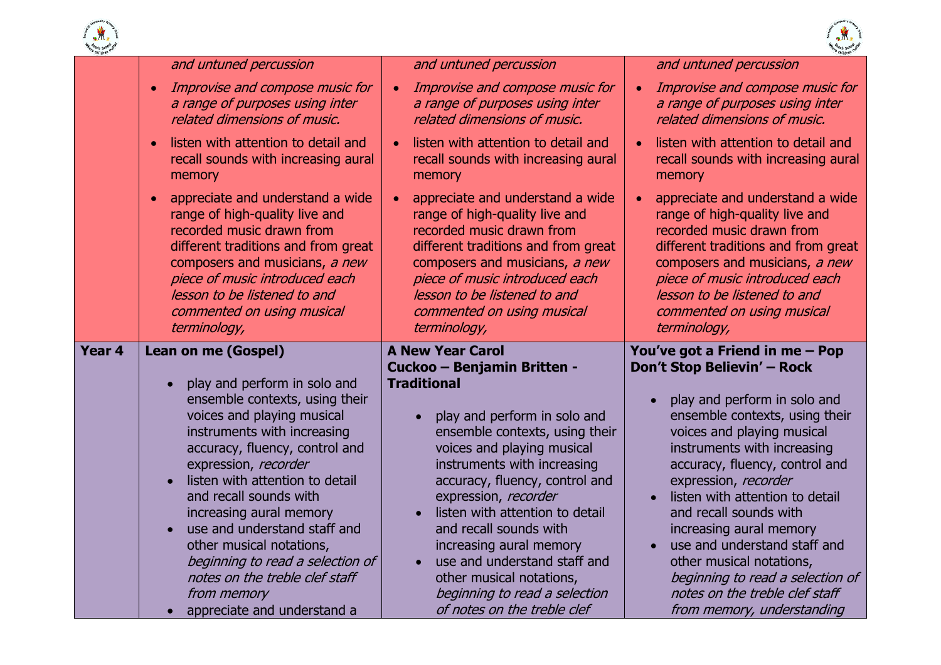



| <b>Hargeoch Schoolder</b> |                                                                                                                                                                                                                                                                                       |                                                                                                                                                                                                                                                                                       | <b>Hareach School Rat</b>                                                                                                                                                                                                                                                |
|---------------------------|---------------------------------------------------------------------------------------------------------------------------------------------------------------------------------------------------------------------------------------------------------------------------------------|---------------------------------------------------------------------------------------------------------------------------------------------------------------------------------------------------------------------------------------------------------------------------------------|--------------------------------------------------------------------------------------------------------------------------------------------------------------------------------------------------------------------------------------------------------------------------|
|                           | and untuned percussion                                                                                                                                                                                                                                                                | and untuned percussion                                                                                                                                                                                                                                                                | and untuned percussion                                                                                                                                                                                                                                                   |
|                           | Improvise and compose music for<br>$\bullet$<br>a range of purposes using inter<br>related dimensions of music.                                                                                                                                                                       | Improvise and compose music for<br>$\bullet$<br>a range of purposes using inter<br>related dimensions of music.                                                                                                                                                                       | Improvise and compose music for<br>$\bullet$<br>a range of purposes using inter<br>related dimensions of music.                                                                                                                                                          |
|                           | listen with attention to detail and<br>$\bullet$<br>recall sounds with increasing aural<br>memory                                                                                                                                                                                     | listen with attention to detail and<br>$\bullet$<br>recall sounds with increasing aural<br>memory                                                                                                                                                                                     | listen with attention to detail and<br>recall sounds with increasing aural<br>memory                                                                                                                                                                                     |
|                           | appreciate and understand a wide<br>$\bullet$<br>range of high-quality live and<br>recorded music drawn from<br>different traditions and from great<br>composers and musicians, a new<br>piece of music introduced each<br>lesson to be listened to and<br>commented on using musical | appreciate and understand a wide<br>$\bullet$<br>range of high-quality live and<br>recorded music drawn from<br>different traditions and from great<br>composers and musicians, a new<br>piece of music introduced each<br>lesson to be listened to and<br>commented on using musical | appreciate and understand a wide<br>range of high-quality live and<br>recorded music drawn from<br>different traditions and from great<br>composers and musicians, a new<br>piece of music introduced each<br>lesson to be listened to and<br>commented on using musical |
| Year <sub>4</sub>         | terminology,                                                                                                                                                                                                                                                                          | terminology,<br><b>A New Year Carol</b>                                                                                                                                                                                                                                               | terminology,                                                                                                                                                                                                                                                             |
|                           | <b>Lean on me (Gospel)</b><br>play and perform in solo and<br>$\bullet$                                                                                                                                                                                                               | Cuckoo - Benjamin Britten -<br><b>Traditional</b>                                                                                                                                                                                                                                     | You've got a Friend in me - Pop<br>Don't Stop Believin' - Rock                                                                                                                                                                                                           |
|                           | ensemble contexts, using their<br>voices and playing musical<br>instruments with increasing<br>accuracy, fluency, control and<br>expression, recorder<br>listen with attention to detail                                                                                              | play and perform in solo and<br>ensemble contexts, using their<br>voices and playing musical<br>instruments with increasing<br>accuracy, fluency, control and                                                                                                                         | play and perform in solo and<br>$\bullet$<br>ensemble contexts, using their<br>voices and playing musical<br>instruments with increasing<br>accuracy, fluency, control and<br>expression, recorder                                                                       |
|                           | and recall sounds with<br>increasing aural memory<br>use and understand staff and<br>$\bullet$<br>other musical notations,<br>beginning to read a selection of                                                                                                                        | expression, recorder<br>listen with attention to detail<br>and recall sounds with<br>increasing aural memory<br>use and understand staff and<br>$\bullet$                                                                                                                             | listen with attention to detail<br>and recall sounds with<br>increasing aural memory<br>use and understand staff and<br>$\bullet$<br>other musical notations,                                                                                                            |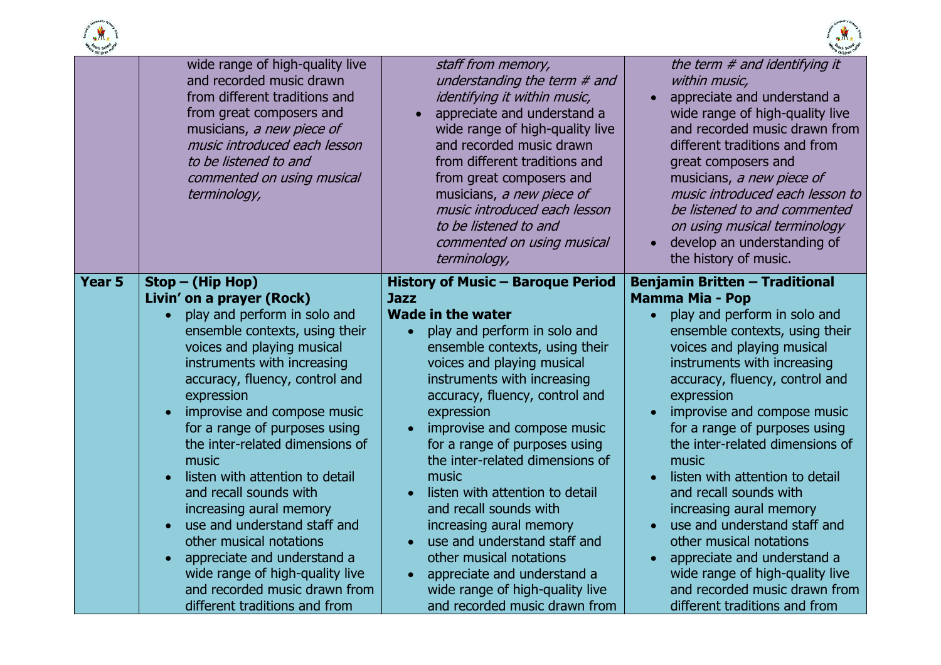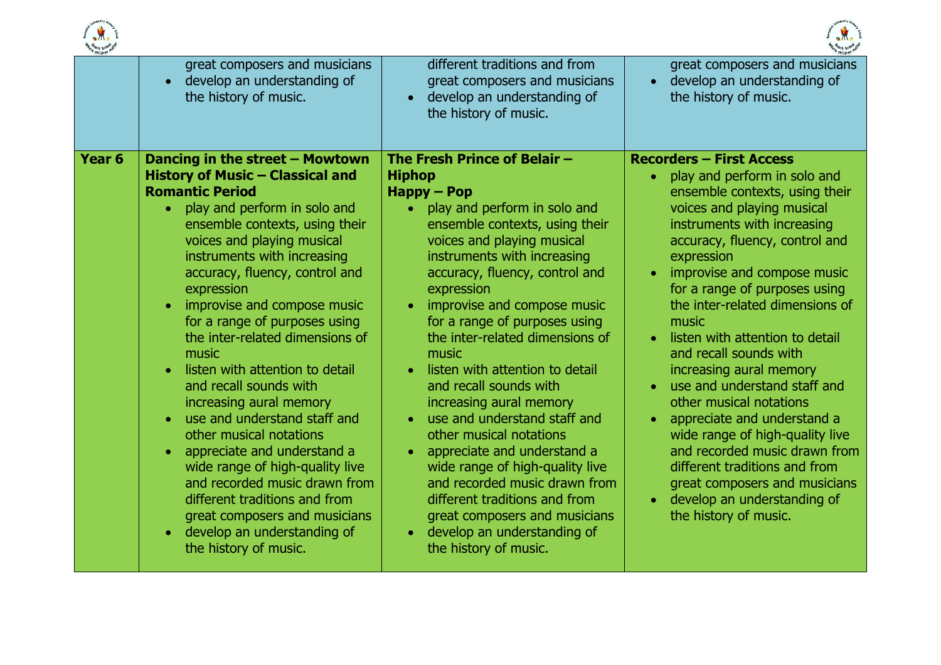



| children |                                                                                                                                                                                                                                                                                                                                                                                                                                                                                      |                                                                                                                                                                                                                                                                                                                                                                                                                                               |                                                                                                                                                                                                                                                                                                                                                                                                                              |
|----------|--------------------------------------------------------------------------------------------------------------------------------------------------------------------------------------------------------------------------------------------------------------------------------------------------------------------------------------------------------------------------------------------------------------------------------------------------------------------------------------|-----------------------------------------------------------------------------------------------------------------------------------------------------------------------------------------------------------------------------------------------------------------------------------------------------------------------------------------------------------------------------------------------------------------------------------------------|------------------------------------------------------------------------------------------------------------------------------------------------------------------------------------------------------------------------------------------------------------------------------------------------------------------------------------------------------------------------------------------------------------------------------|
|          | great composers and musicians<br>develop an understanding of<br>$\bullet$<br>the history of music.                                                                                                                                                                                                                                                                                                                                                                                   | different traditions and from<br>great composers and musicians<br>develop an understanding of<br>$\bullet$<br>the history of music.                                                                                                                                                                                                                                                                                                           | great composers and musicians<br>develop an understanding of<br>$\bullet$<br>the history of music.                                                                                                                                                                                                                                                                                                                           |
|          | <b>Romantic Period</b><br>play and perform in solo and<br>$\bullet$<br>ensemble contexts, using their<br>voices and playing musical<br>instruments with increasing<br>accuracy, fluency, control and<br>expression<br>improvise and compose music<br>$\bullet$                                                                                                                                                                                                                       | $H$ appy – Pop<br>play and perform in solo and<br>ensemble contexts, using their<br>voices and playing musical<br>instruments with increasing<br>accuracy, fluency, control and<br>expression<br>improvise and compose music<br>$\bullet$                                                                                                                                                                                                     | ensemble contexts, using their<br>voices and playing musical<br>instruments with increasing<br>accuracy, fluency, control and<br>expression<br>improvise and compose music<br>$\bullet$<br>for a range of purposes using<br>the inter-related dimensions of                                                                                                                                                                  |
|          | for a range of purposes using<br>the inter-related dimensions of<br>music<br>listen with attention to detail<br>$\bullet$<br>and recall sounds with<br>increasing aural memory<br>use and understand staff and<br>$\bullet$<br>other musical notations<br>appreciate and understand a<br>$\bullet$<br>wide range of high-quality live<br>and recorded music drawn from<br>different traditions and from<br>great composers and musicians<br>develop an understanding of<br>$\bullet$ | for a range of purposes using<br>the inter-related dimensions of<br>music<br>listen with attention to detail<br>and recall sounds with<br>increasing aural memory<br>use and understand staff and<br>other musical notations<br>appreciate and understand a<br>$\bullet$<br>wide range of high-quality live<br>and recorded music drawn from<br>different traditions and from<br>great composers and musicians<br>develop an understanding of | music<br>listen with attention to detail<br>$\bullet$<br>and recall sounds with<br>increasing aural memory<br>use and understand staff and<br>other musical notations<br>appreciate and understand a<br>$\bullet$<br>wide range of high-quality live<br>and recorded music drawn from<br>different traditions and from<br>great composers and musicians<br>develop an understanding of<br>$\bullet$<br>the history of music. |
|          | the history of music.                                                                                                                                                                                                                                                                                                                                                                                                                                                                | the history of music.                                                                                                                                                                                                                                                                                                                                                                                                                         |                                                                                                                                                                                                                                                                                                                                                                                                                              |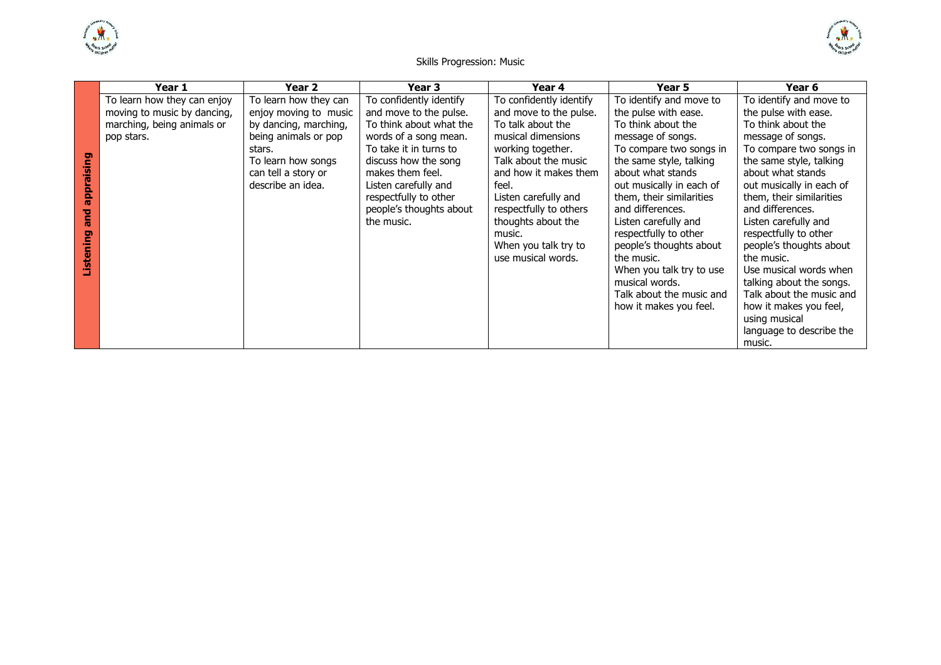



### Skills Progression: Music

|             | Year 1                      | Year 2                | Year 3                  | Year 4                  | Year 5                   | Year 6                   |
|-------------|-----------------------------|-----------------------|-------------------------|-------------------------|--------------------------|--------------------------|
|             | To learn how they can enjoy | To learn how they can | To confidently identify | To confidently identify | To identify and move to  | To identify and move to  |
|             | moving to music by dancing, | enjoy moving to music | and move to the pulse.  | and move to the pulse.  | the pulse with ease.     | the pulse with ease.     |
|             | marching, being animals or  | by dancing, marching, | To think about what the | To talk about the       | To think about the       | To think about the       |
|             | pop stars.                  | being animals or pop  | words of a song mean.   | musical dimensions      | message of songs.        | message of songs.        |
|             |                             | stars.                | To take it in turns to  | working together.       | To compare two songs in  | To compare two songs in  |
| appraising  |                             | To learn how songs    | discuss how the song    | Talk about the music    | the same style, talking  | the same style, talking  |
|             |                             | can tell a story or   | makes them feel.        | and how it makes them   | about what stands        | about what stands        |
|             |                             | describe an idea.     | Listen carefully and    | feel.                   | out musically in each of | out musically in each of |
|             |                             |                       | respectfully to other   | Listen carefully and    | them, their similarities | them, their similarities |
| <b>Dure</b> |                             |                       | people's thoughts about | respectfully to others  | and differences.         | and differences.         |
|             |                             |                       | the music.              | thoughts about the      | Listen carefully and     | Listen carefully and     |
|             |                             |                       |                         | music.                  | respectfully to other    | respectfully to other    |
| Listening   |                             |                       |                         | When you talk try to    | people's thoughts about  | people's thoughts about  |
|             |                             |                       |                         | use musical words.      | the music.               | the music.               |
|             |                             |                       |                         |                         | When you talk try to use | Use musical words when   |
|             |                             |                       |                         |                         | musical words.           | talking about the songs. |
|             |                             |                       |                         |                         | Talk about the music and | Talk about the music and |
|             |                             |                       |                         |                         | how it makes you feel.   | how it makes you feel,   |
|             |                             |                       |                         |                         |                          | using musical            |
|             |                             |                       |                         |                         |                          | language to describe the |
|             |                             |                       |                         |                         |                          | music.                   |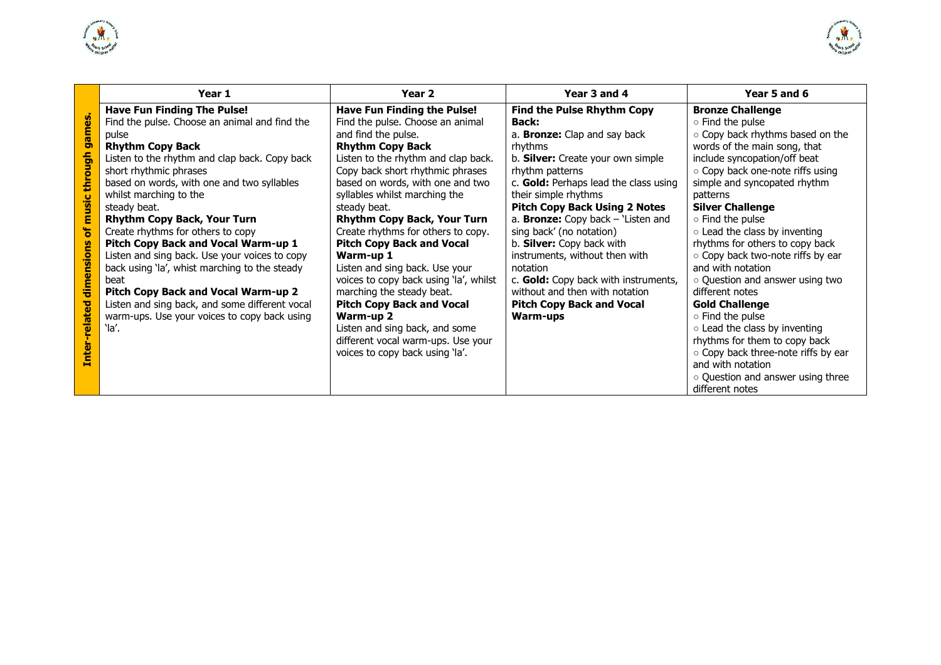



|                                        | Year 1                                                                                                                                                                                                                                                                                                                                                                                                                                                                                                                                                                                                                                                                        | Year <sub>2</sub>                                                                                                                                                                                                                                                                                                                                                                                                                                                                                                                                                 | Year 3 and 4                                                                                                                                                                                                                                                                                                                                                                                                                                                                                                                                         | Year 5 and 6                                                                                                                                                                                                                                                                                                                                                                                                                                                                                                    |
|----------------------------------------|-------------------------------------------------------------------------------------------------------------------------------------------------------------------------------------------------------------------------------------------------------------------------------------------------------------------------------------------------------------------------------------------------------------------------------------------------------------------------------------------------------------------------------------------------------------------------------------------------------------------------------------------------------------------------------|-------------------------------------------------------------------------------------------------------------------------------------------------------------------------------------------------------------------------------------------------------------------------------------------------------------------------------------------------------------------------------------------------------------------------------------------------------------------------------------------------------------------------------------------------------------------|------------------------------------------------------------------------------------------------------------------------------------------------------------------------------------------------------------------------------------------------------------------------------------------------------------------------------------------------------------------------------------------------------------------------------------------------------------------------------------------------------------------------------------------------------|-----------------------------------------------------------------------------------------------------------------------------------------------------------------------------------------------------------------------------------------------------------------------------------------------------------------------------------------------------------------------------------------------------------------------------------------------------------------------------------------------------------------|
| music through games<br>ð<br>dimensions | <b>Have Fun Finding The Pulse!</b><br>Find the pulse. Choose an animal and find the<br>pulse<br><b>Rhythm Copy Back</b><br>Listen to the rhythm and clap back. Copy back<br>short rhythmic phrases<br>based on words, with one and two syllables<br>whilst marching to the<br>steady beat.<br><b>Rhythm Copy Back, Your Turn</b><br>Create rhythms for others to copy<br><b>Pitch Copy Back and Vocal Warm-up 1</b><br>Listen and sing back. Use your voices to copy<br>back using 'la', whist marching to the steady<br>beat<br><b>Pitch Copy Back and Vocal Warm-up 2</b><br>Listen and sing back, and some different vocal<br>warm-ups. Use your voices to copy back using | Have Fun Finding the Pulse!<br>Find the pulse. Choose an animal<br>and find the pulse.<br><b>Rhythm Copy Back</b><br>Listen to the rhythm and clap back.<br>Copy back short rhythmic phrases<br>based on words, with one and two<br>syllables whilst marching the<br>steady beat.<br>Rhythm Copy Back, Your Turn<br>Create rhythms for others to copy.<br><b>Pitch Copy Back and Vocal</b><br>Warm-up 1<br>Listen and sing back. Use your<br>voices to copy back using 'la', whilst<br>marching the steady beat.<br><b>Pitch Copy Back and Vocal</b><br>Warm-up 2 | <b>Find the Pulse Rhythm Copy</b><br><b>Back:</b><br>a. Bronze: Clap and say back<br>rhythms<br>b. Silver: Create your own simple<br>rhythm patterns<br>c. Gold: Perhaps lead the class using<br>their simple rhythms<br><b>Pitch Copy Back Using 2 Notes</b><br>a. <b>Bronze:</b> Copy back $-$ 'Listen and<br>sing back' (no notation)<br>b. Silver: Copy back with<br>instruments, without then with<br>notation<br>c. Gold: Copy back with instruments,<br>without and then with notation<br><b>Pitch Copy Back and Vocal</b><br><b>Warm-ups</b> | <b>Bronze Challenge</b><br>○ Find the pulse<br>o Copy back rhythms based on the<br>words of the main song, that<br>include syncopation/off beat<br>○ Copy back one-note riffs using<br>simple and syncopated rhythm<br>patterns<br><b>Silver Challenge</b><br>○ Find the pulse<br>○ Lead the class by inventing<br>rhythms for others to copy back<br>o Copy back two-note riffs by ear<br>and with notation<br>o Question and answer using two<br>different notes<br><b>Gold Challenge</b><br>o Find the pulse |
| Inter-related                          | `la'.                                                                                                                                                                                                                                                                                                                                                                                                                                                                                                                                                                                                                                                                         | Listen and sing back, and some<br>different vocal warm-ups. Use your<br>voices to copy back using 'la'.                                                                                                                                                                                                                                                                                                                                                                                                                                                           |                                                                                                                                                                                                                                                                                                                                                                                                                                                                                                                                                      | o Lead the class by inventing<br>rhythms for them to copy back<br>o Copy back three-note riffs by ear<br>and with notation<br>○ Question and answer using three<br>different notes                                                                                                                                                                                                                                                                                                                              |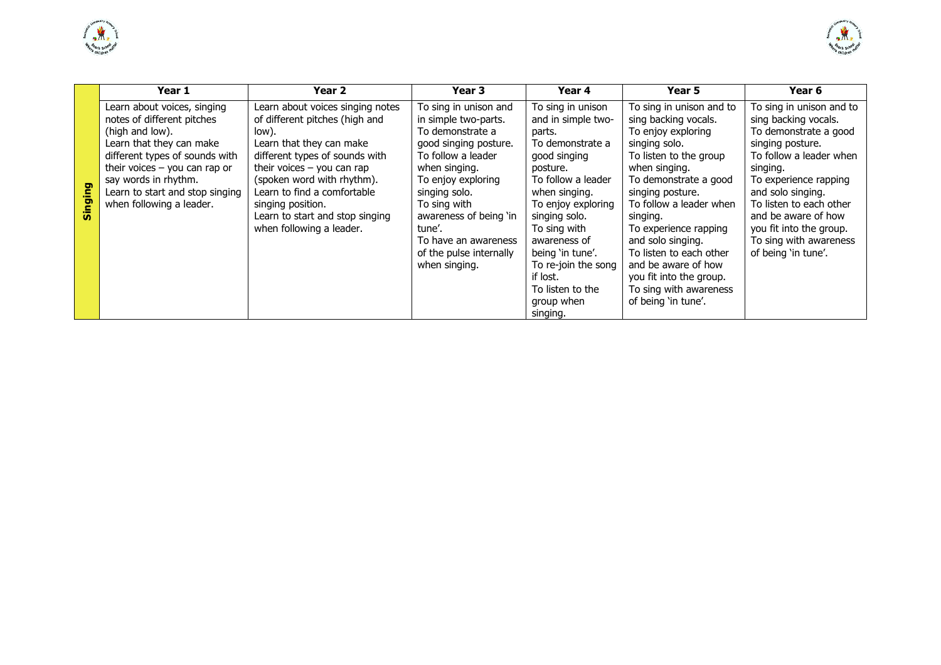



|         | Year 1                                                                                                                                                                                                                                                               | Year 2                                                                                                                                                                                                                                                                                                                     | Year 3                                                                                                                                                                                                                                                                                           | Year 4                                                                                                                                                                                                                                                                                                               | Year 5                                                                                                                                                                                                                                                                                                                                                                                             | Year 6                                                                                                                                                                                                                                                                                                           |
|---------|----------------------------------------------------------------------------------------------------------------------------------------------------------------------------------------------------------------------------------------------------------------------|----------------------------------------------------------------------------------------------------------------------------------------------------------------------------------------------------------------------------------------------------------------------------------------------------------------------------|--------------------------------------------------------------------------------------------------------------------------------------------------------------------------------------------------------------------------------------------------------------------------------------------------|----------------------------------------------------------------------------------------------------------------------------------------------------------------------------------------------------------------------------------------------------------------------------------------------------------------------|----------------------------------------------------------------------------------------------------------------------------------------------------------------------------------------------------------------------------------------------------------------------------------------------------------------------------------------------------------------------------------------------------|------------------------------------------------------------------------------------------------------------------------------------------------------------------------------------------------------------------------------------------------------------------------------------------------------------------|
| Singing | Learn about voices, singing<br>notes of different pitches<br>(high and low).<br>Learn that they can make<br>different types of sounds with<br>their voices $-$ you can rap or<br>say words in rhythm.<br>Learn to start and stop singing<br>when following a leader. | Learn about voices singing notes<br>of different pitches (high and<br>low).<br>Learn that they can make<br>different types of sounds with<br>their voices $-$ you can rap<br>(spoken word with rhythm).<br>Learn to find a comfortable<br>singing position.<br>Learn to start and stop singing<br>when following a leader. | To sing in unison and<br>in simple two-parts.<br>To demonstrate a<br>good singing posture.<br>To follow a leader<br>when singing.<br>To enjoy exploring<br>singing solo.<br>To sing with<br>awareness of being 'in<br>tune'.<br>To have an awareness<br>of the pulse internally<br>when singing. | To sing in unison<br>and in simple two-<br>parts.<br>To demonstrate a<br>good singing<br>posture.<br>To follow a leader<br>when singing.<br>To enjoy exploring<br>singing solo.<br>To sing with<br>awareness of<br>being 'in tune'.<br>To re-join the song<br>if lost.<br>To listen to the<br>group when<br>singing. | To sing in unison and to<br>sing backing vocals.<br>To enjoy exploring<br>singing solo.<br>To listen to the group<br>when singing.<br>To demonstrate a good<br>singing posture.<br>To follow a leader when<br>singing.<br>To experience rapping<br>and solo singing.<br>To listen to each other<br>and be aware of how<br>you fit into the group.<br>To sing with awareness<br>of being 'in tune'. | To sing in unison and to<br>sing backing vocals.<br>To demonstrate a good<br>singing posture.<br>To follow a leader when<br>singing.<br>To experience rapping<br>and solo singing.<br>To listen to each other<br>and be aware of how<br>you fit into the group.<br>To sing with awareness<br>of being 'in tune'. |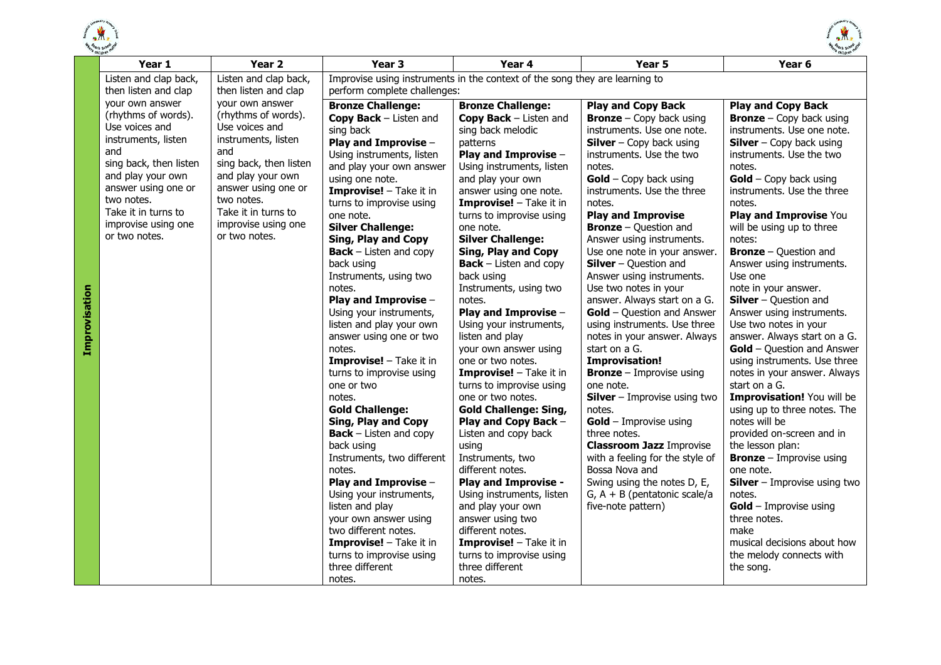

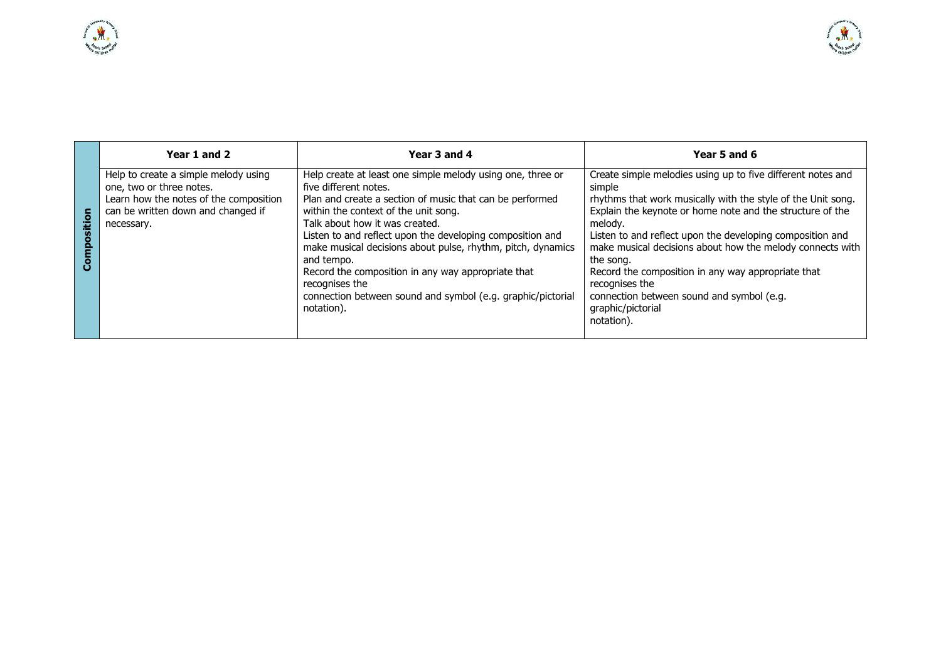|        | Year 1 and 2                                                                                                                                                   | Year 3 and 4                                                                                                                                                                                                                                                                                                                                                                                                                                                                                                             | Year 5 and 6                                                                                                                                                                                                                                                                                                                                                                                                                                                                                                 |
|--------|----------------------------------------------------------------------------------------------------------------------------------------------------------------|--------------------------------------------------------------------------------------------------------------------------------------------------------------------------------------------------------------------------------------------------------------------------------------------------------------------------------------------------------------------------------------------------------------------------------------------------------------------------------------------------------------------------|--------------------------------------------------------------------------------------------------------------------------------------------------------------------------------------------------------------------------------------------------------------------------------------------------------------------------------------------------------------------------------------------------------------------------------------------------------------------------------------------------------------|
| sitior | Help to create a simple melody using<br>one, two or three notes.<br>Learn how the notes of the composition<br>can be written down and changed if<br>necessary. | Help create at least one simple melody using one, three or<br>five different notes.<br>Plan and create a section of music that can be performed<br>within the context of the unit song.<br>Talk about how it was created.<br>Listen to and reflect upon the developing composition and<br>make musical decisions about pulse, rhythm, pitch, dynamics<br>and tempo.<br>Record the composition in any way appropriate that<br>recognises the<br>connection between sound and symbol (e.g. graphic/pictorial<br>notation). | Create simple melodies using up to five different notes and<br>simple<br>rhythms that work musically with the style of the Unit song.<br>Explain the keynote or home note and the structure of the<br>melody.<br>Listen to and reflect upon the developing composition and<br>make musical decisions about how the melody connects with<br>the song.<br>Record the composition in any way appropriate that<br>recognises the<br>connection between sound and symbol (e.g.<br>graphic/pictorial<br>notation). |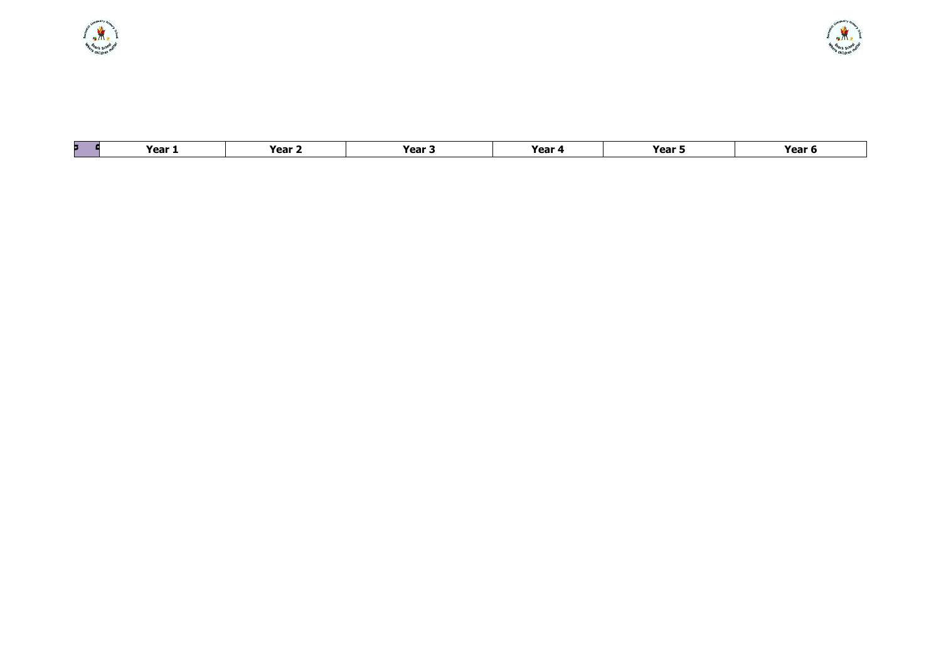| Year 1 | Year $\sim$ | Year . | Year 4 | Year 5 | Year \ |
|--------|-------------|--------|--------|--------|--------|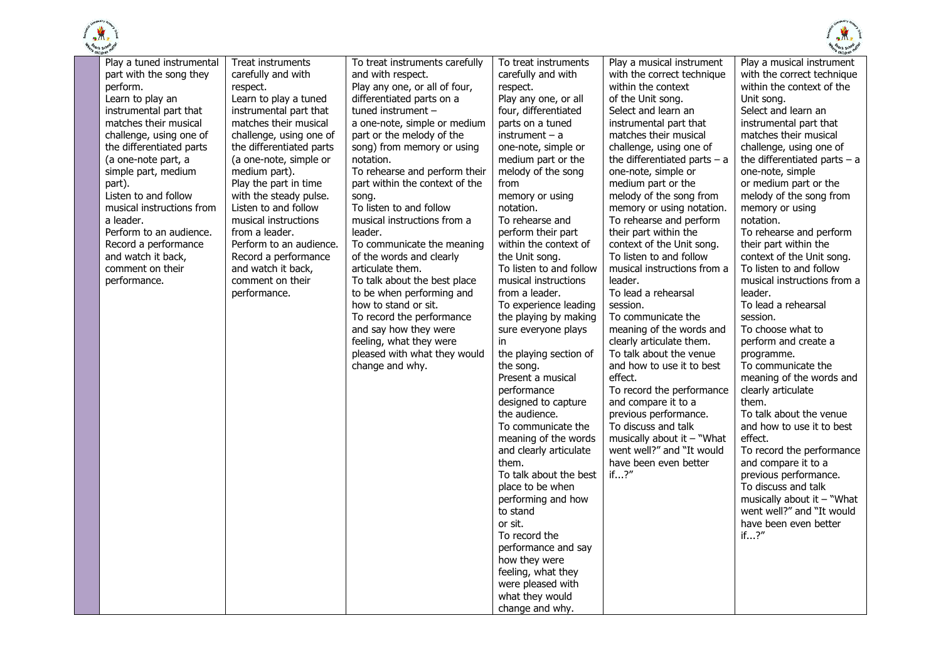

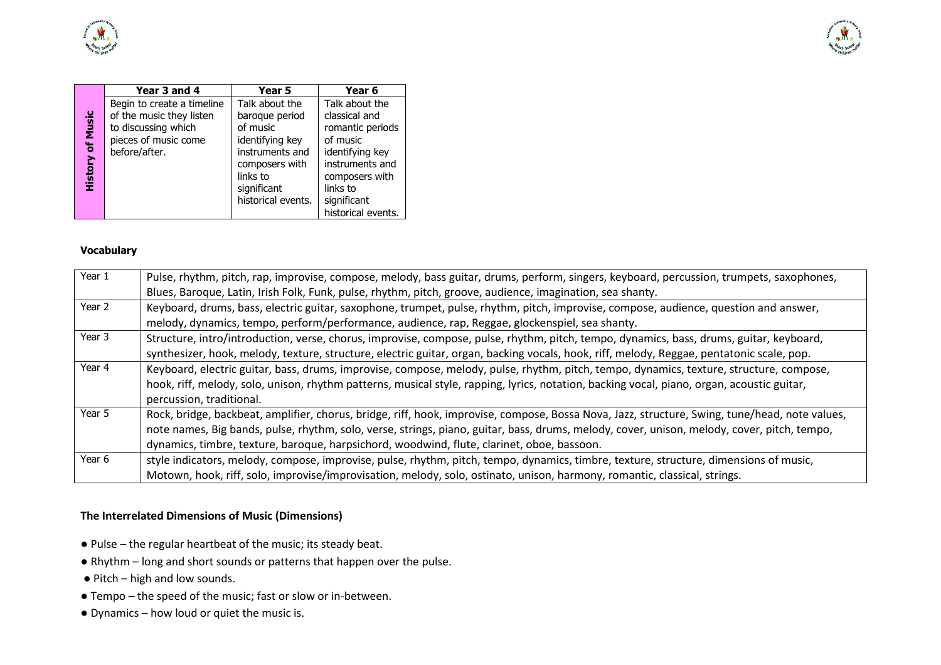



|                         | Year 3 and 4               | Year 5             | Year 6             |
|-------------------------|----------------------------|--------------------|--------------------|
|                         | Begin to create a timeline | Talk about the     | Talk about the     |
|                         | of the music they listen   | baroque period     | classical and      |
|                         | to discussing which        | of music           | romantic periods   |
| <b>History of Music</b> | pieces of music come       | identifying key    | of music           |
|                         | before/after.              | instruments and    | identifying key    |
|                         |                            | composers with     | instruments and    |
|                         |                            | links to           | composers with     |
|                         |                            | significant        | links to           |
|                         |                            | historical events. | significant        |
|                         |                            |                    | historical events. |

#### **Vocabulary**

| Year 1 | Pulse, rhythm, pitch, rap, improvise, compose, melody, bass guitar, drums, perform, singers, keyboard, percussion, trumpets, saxophones,       |
|--------|------------------------------------------------------------------------------------------------------------------------------------------------|
|        | Blues, Baroque, Latin, Irish Folk, Funk, pulse, rhythm, pitch, groove, audience, imagination, sea shanty.                                      |
| Year 2 | Keyboard, drums, bass, electric guitar, saxophone, trumpet, pulse, rhythm, pitch, improvise, compose, audience, question and answer,           |
|        | melody, dynamics, tempo, perform/performance, audience, rap, Reggae, glockenspiel, sea shanty.                                                 |
| Year 3 | Structure, intro/introduction, verse, chorus, improvise, compose, pulse, rhythm, pitch, tempo, dynamics, bass, drums, guitar, keyboard,        |
|        | synthesizer, hook, melody, texture, structure, electric guitar, organ, backing vocals, hook, riff, melody, Reggae, pentatonic scale, pop.      |
| Year 4 | Keyboard, electric guitar, bass, drums, improvise, compose, melody, pulse, rhythm, pitch, tempo, dynamics, texture, structure, compose,        |
|        | hook, riff, melody, solo, unison, rhythm patterns, musical style, rapping, lyrics, notation, backing vocal, piano, organ, acoustic guitar,     |
|        | percussion, traditional.                                                                                                                       |
| Year 5 | Rock, bridge, backbeat, amplifier, chorus, bridge, riff, hook, improvise, compose, Bossa Nova, Jazz, structure, Swing, tune/head, note values, |
|        | note names, Big bands, pulse, rhythm, solo, verse, strings, piano, guitar, bass, drums, melody, cover, unison, melody, cover, pitch, tempo,    |
|        | dynamics, timbre, texture, baroque, harpsichord, woodwind, flute, clarinet, oboe, bassoon.                                                     |
| Year 6 | style indicators, melody, compose, improvise, pulse, rhythm, pitch, tempo, dynamics, timbre, texture, structure, dimensions of music,          |
|        | Motown, hook, riff, solo, improvise/improvisation, melody, solo, ostinato, unison, harmony, romantic, classical, strings.                      |

### **The Interrelated Dimensions of Music (Dimensions)**

- Pulse the regular heartbeat of the music; its steady beat.
- Rhythm long and short sounds or patterns that happen over the pulse.
- Pitch high and low sounds.
- Tempo the speed of the music; fast or slow or in-between.
- Dynamics how loud or quiet the music is.